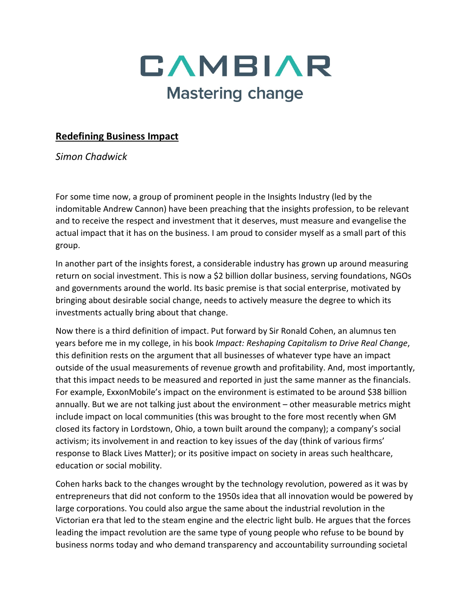

## **Redefining Business Impact**

*Simon Chadwick*

For some time now, a group of prominent people in the Insights Industry (led by the indomitable Andrew Cannon) have been preaching that the insights profession, to be relevant and to receive the respect and investment that it deserves, must measure and evangelise the actual impact that it has on the business. I am proud to consider myself as a small part of this group.

In another part of the insights forest, a considerable industry has grown up around measuring return on social investment. This is now a \$2 billion dollar business, serving foundations, NGOs and governments around the world. Its basic premise is that social enterprise, motivated by bringing about desirable social change, needs to actively measure the degree to which its investments actually bring about that change.

Now there is a third definition of impact. Put forward by Sir Ronald Cohen, an alumnus ten years before me in my college, in his book *Impact: Reshaping Capitalism to Drive Real Change*, this definition rests on the argument that all businesses of whatever type have an impact outside of the usual measurements of revenue growth and profitability. And, most importantly, that this impact needs to be measured and reported in just the same manner as the financials. For example, ExxonMobile's impact on the environment is estimated to be around \$38 billion annually. But we are not talking just about the environment – other measurable metrics might include impact on local communities (this was brought to the fore most recently when GM closed its factory in Lordstown, Ohio, a town built around the company); a company's social activism; its involvement in and reaction to key issues of the day (think of various firms' response to Black Lives Matter); or its positive impact on society in areas such healthcare, education or social mobility.

Cohen harks back to the changes wrought by the technology revolution, powered as it was by entrepreneurs that did not conform to the 1950s idea that all innovation would be powered by large corporations. You could also argue the same about the industrial revolution in the Victorian era that led to the steam engine and the electric light bulb. He argues that the forces leading the impact revolution are the same type of young people who refuse to be bound by business norms today and who demand transparency and accountability surrounding societal